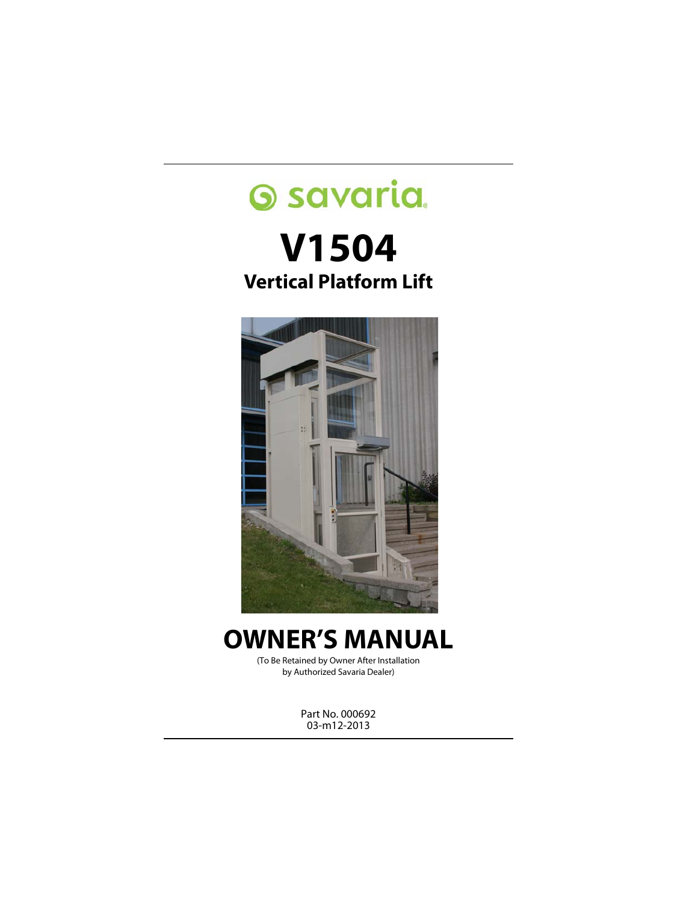# **Savaria. V1504 Vertical Platform Lift**



## **OWNER'S MANUAL**

(To Be Retained by Owner After Installation by Authorized Savaria Dealer)

> Part No. 000692 03-m12-2013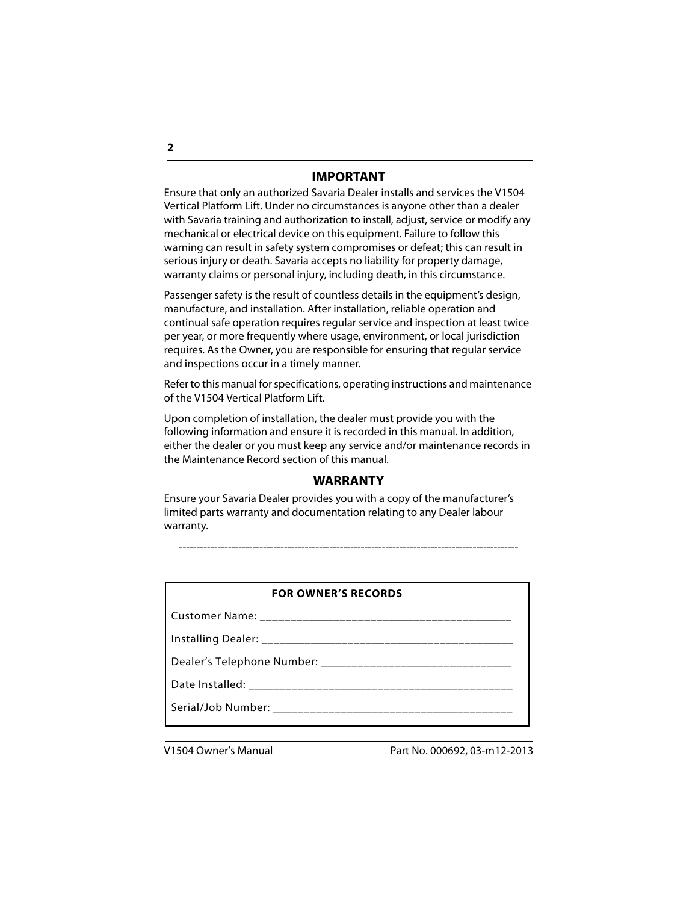#### **IMPORTANT**

Ensure that only an authorized Savaria Dealer installs and services the V1504 Vertical Platform Lift. Under no circumstances is anyone other than a dealer with Savaria training and authorization to install, adjust, service or modify any mechanical or electrical device on this equipment. Failure to follow this warning can result in safety system compromises or defeat; this can result in serious injury or death. Savaria accepts no liability for property damage, warranty claims or personal injury, including death, in this circumstance.

Passenger safety is the result of countless details in the equipment's design, manufacture, and installation. After installation, reliable operation and continual safe operation requires regular service and inspection at least twice per year, or more frequently where usage, environment, or local jurisdiction requires. As the Owner, you are responsible for ensuring that regular service and inspections occur in a timely manner.

Refer to this manual for specifications, operating instructions and maintenance of the V1504 Vertical Platform Lift.

Upon completion of installation, the dealer must provide you with the following information and ensure it is recorded in this manual. In addition, either the dealer or you must keep any service and/or maintenance records in the Maintenance Record section of this manual.

#### **WARRANTY**

Ensure your Savaria Dealer provides you with a copy of the manufacturer's limited parts warranty and documentation relating to any Dealer labour warranty.

-------------------------------------------------------------------------------------------------

#### **FOR OWNER'S RECORDS**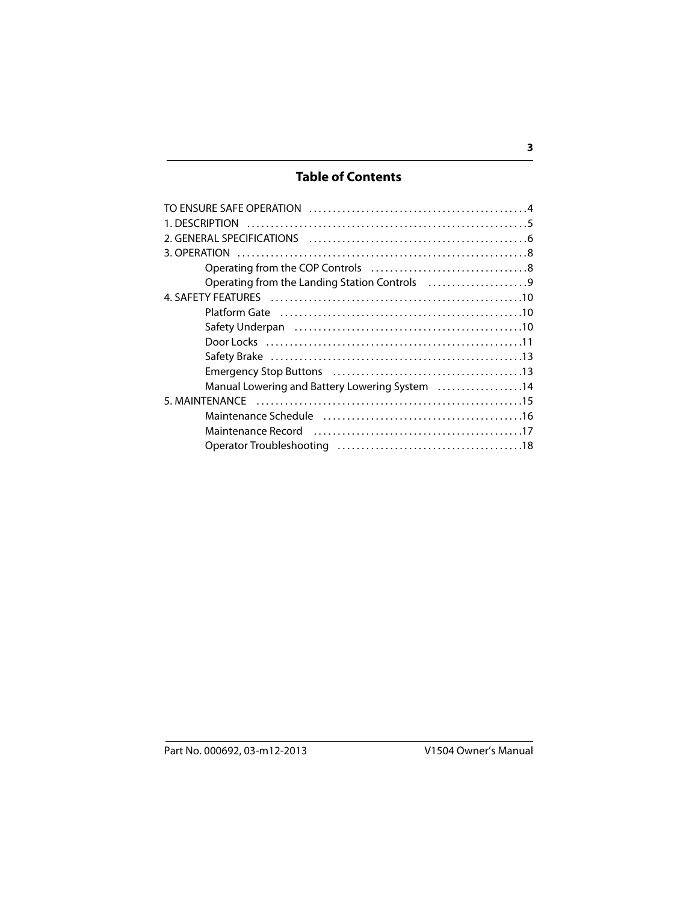#### **Table of Contents**

| Manual Lowering and Battery Lowering System 14                                                                  |  |
|-----------------------------------------------------------------------------------------------------------------|--|
|                                                                                                                 |  |
|                                                                                                                 |  |
| Maintenance Record (and the content of the content of the Maintenance Record and the content of the Maintenance |  |
|                                                                                                                 |  |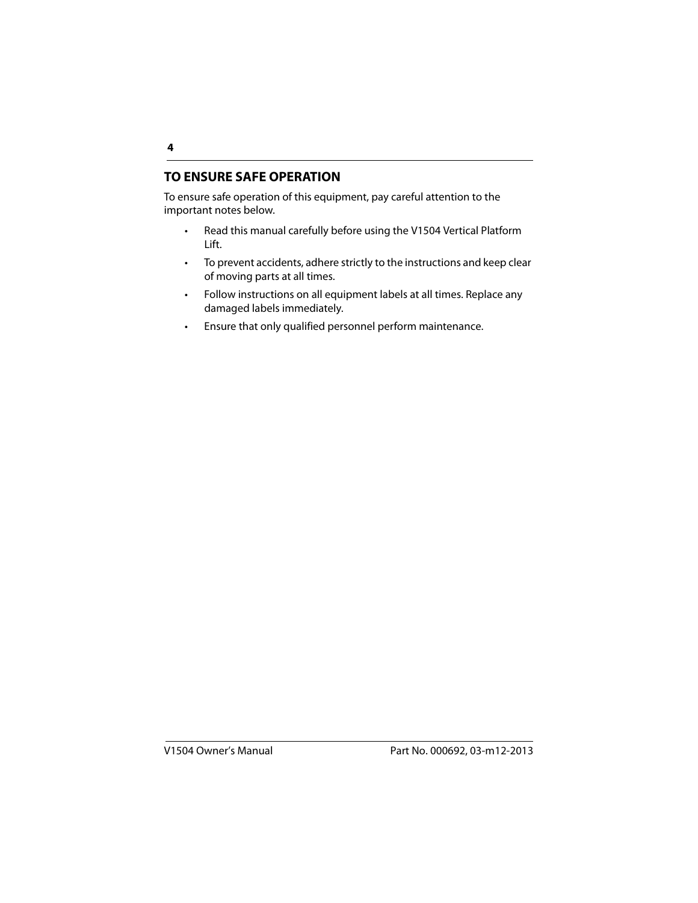#### <span id="page-3-0"></span>**TO ENSURE SAFE OPERATION**

To ensure safe operation of this equipment, pay careful attention to the important notes below.

- Read this manual carefully before using the V1504 Vertical Platform Lift.
- To prevent accidents, adhere strictly to the instructions and keep clear of moving parts at all times.
- Follow instructions on all equipment labels at all times. Replace any damaged labels immediately.
- Ensure that only qualified personnel perform maintenance.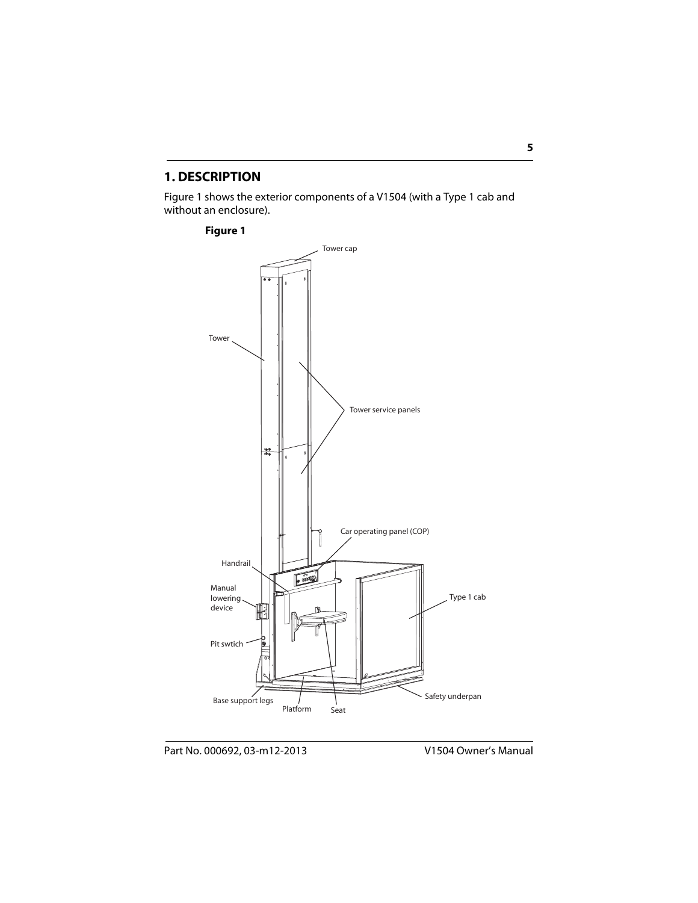#### **1. DESCRIPTION**

Figure 1 shows the exterior components of a V1504 (with a Type 1 cab and without an enclosure).

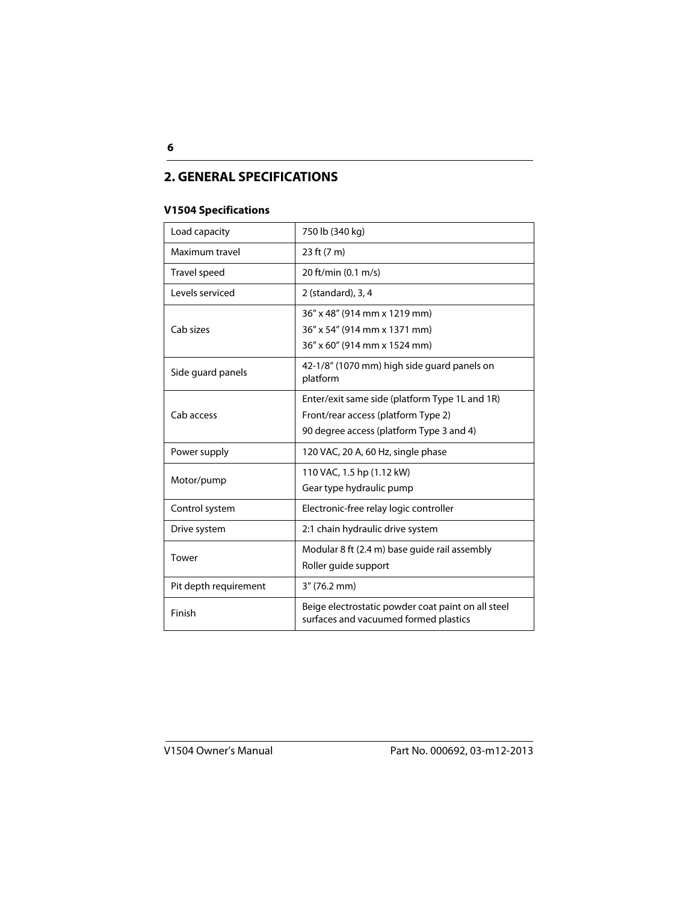#### <span id="page-5-0"></span>**2. GENERAL SPECIFICATIONS**

#### **V1504 Specifications**

| Load capacity         | 750 lb (340 kg)                                                                                                                   |
|-----------------------|-----------------------------------------------------------------------------------------------------------------------------------|
| Maximum travel        | 23 ft (7 m)                                                                                                                       |
| Travel speed          | 20 ft/min (0.1 m/s)                                                                                                               |
| Levels serviced       | 2 (standard), 3, 4                                                                                                                |
| Cab sizes             | 36" x 48" (914 mm x 1219 mm)<br>36" x 54" (914 mm x 1371 mm)<br>36" x 60" (914 mm x 1524 mm)                                      |
| Side guard panels     | 42-1/8" (1070 mm) high side guard panels on<br>platform                                                                           |
| Cab access            | Enter/exit same side (platform Type 1L and 1R)<br>Front/rear access (platform Type 2)<br>90 degree access (platform Type 3 and 4) |
| Power supply          | 120 VAC, 20 A, 60 Hz, single phase                                                                                                |
| Motor/pump            | 110 VAC, 1.5 hp (1.12 kW)<br>Gear type hydraulic pump                                                                             |
| Control system        | Electronic-free relay logic controller                                                                                            |
| Drive system          | 2:1 chain hydraulic drive system                                                                                                  |
| Tower                 | Modular 8 ft (2.4 m) base quide rail assembly<br>Roller guide support                                                             |
| Pit depth requirement | $3''(76.2 \text{ mm})$                                                                                                            |
| Finish                | Beige electrostatic powder coat paint on all steel<br>surfaces and vacuumed formed plastics                                       |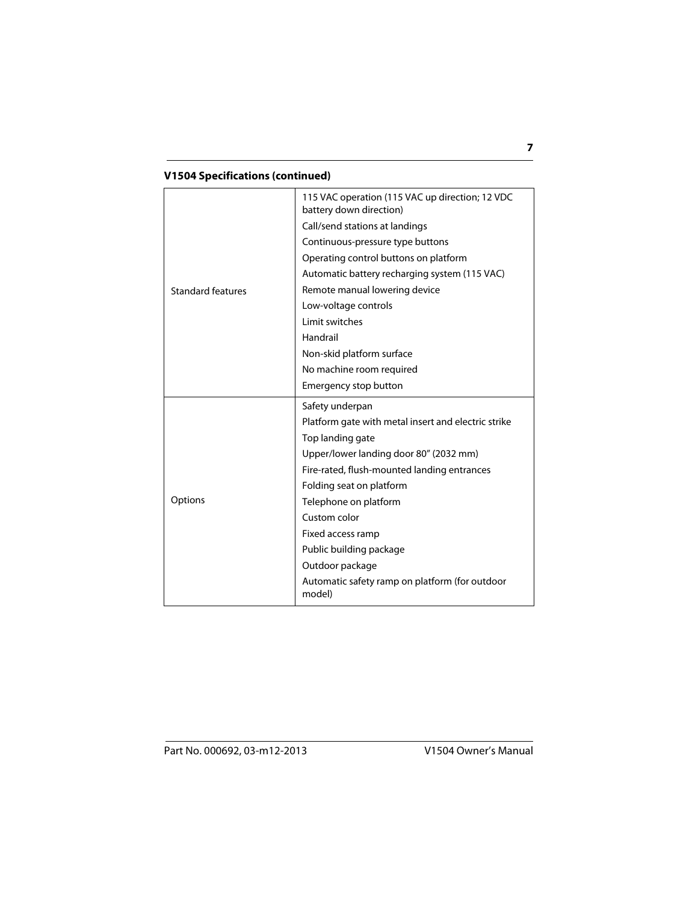#### **V1504 Specifications (continued)**

|                          | 115 VAC operation (115 VAC up direction; 12 VDC<br>battery down direction) |
|--------------------------|----------------------------------------------------------------------------|
|                          | Call/send stations at landings                                             |
|                          | Continuous-pressure type buttons                                           |
|                          | Operating control buttons on platform                                      |
|                          | Automatic battery recharging system (115 VAC)                              |
| <b>Standard features</b> | Remote manual lowering device                                              |
|                          | Low-voltage controls                                                       |
|                          | Limit switches                                                             |
|                          | Handrail                                                                   |
|                          | Non-skid platform surface                                                  |
|                          | No machine room required                                                   |
|                          | Emergency stop button                                                      |
|                          |                                                                            |
|                          | Safety underpan                                                            |
|                          | Platform gate with metal insert and electric strike                        |
|                          | Top landing gate                                                           |
|                          | Upper/lower landing door 80" (2032 mm)                                     |
|                          | Fire-rated, flush-mounted landing entrances                                |
|                          | Folding seat on platform                                                   |
| Options                  | Telephone on platform                                                      |
|                          | Custom color                                                               |
|                          | Fixed access ramp                                                          |
|                          | Public building package                                                    |
|                          | Outdoor package                                                            |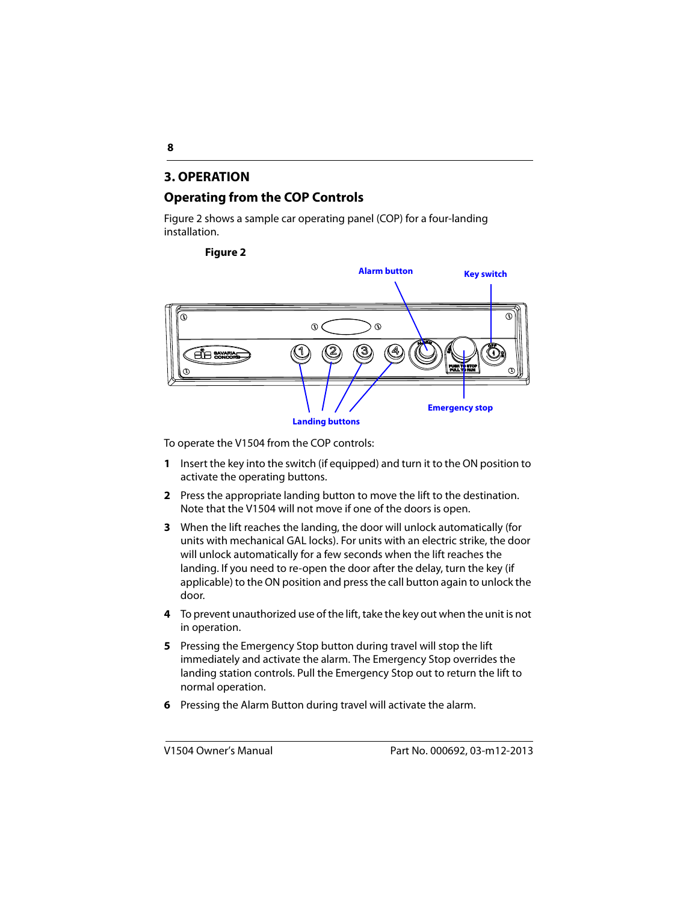#### <span id="page-7-0"></span>**3. OPERATION**

#### <span id="page-7-1"></span>**Operating from the COP Controls**

Figure 2 shows a sample car operating panel (COP) for a four-landing installation.

**Figure 2**



To operate the V1504 from the COP controls:

- **1** Insert the key into the switch (if equipped) and turn it to the ON position to activate the operating buttons.
- **2** Press the appropriate landing button to move the lift to the destination. Note that the V1504 will not move if one of the doors is open.
- **3** When the lift reaches the landing, the door will unlock automatically (for units with mechanical GAL locks). For units with an electric strike, the door will unlock automatically for a few seconds when the lift reaches the landing. If you need to re-open the door after the delay, turn the key (if applicable) to the ON position and press the call button again to unlock the door.
- **4** To prevent unauthorized use of the lift, take the key out when the unit is not in operation.
- **5** Pressing the Emergency Stop button during travel will stop the lift immediately and activate the alarm. The Emergency Stop overrides the landing station controls. Pull the Emergency Stop out to return the lift to normal operation.
- **6** Pressing the Alarm Button during travel will activate the alarm.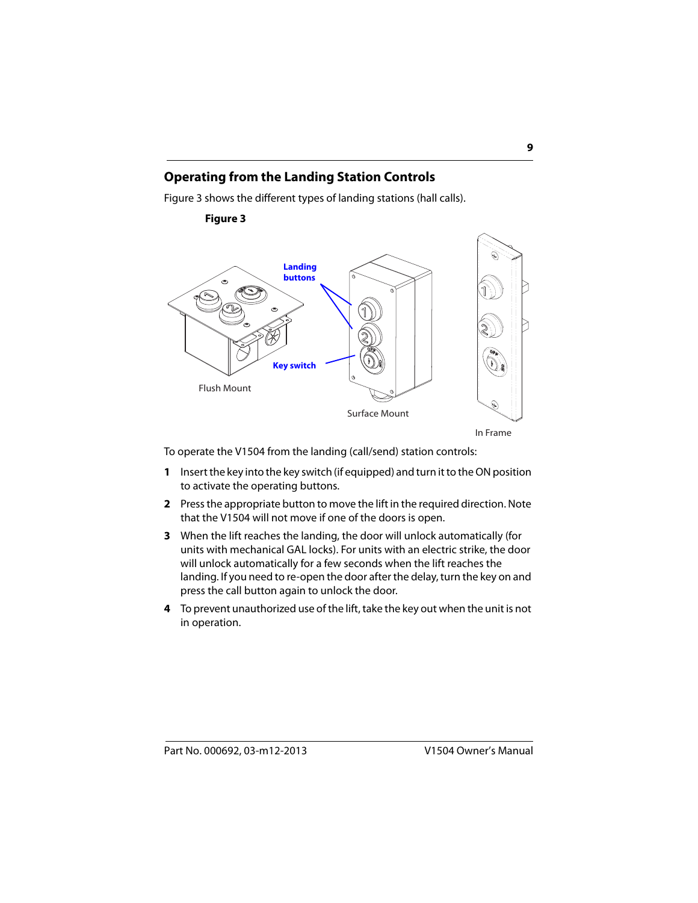#### <span id="page-8-0"></span>**Operating from the Landing Station Controls**

Figure 3 shows the different types of landing stations (hall calls).



**Figure 3**

To operate the V1504 from the landing (call/send) station controls:

- **1** Insert the key into the key switch (if equipped) and turn it to the ON position to activate the operating buttons.
- **2** Press the appropriate button to move the lift in the required direction. Note that the V1504 will not move if one of the doors is open.
- **3** When the lift reaches the landing, the door will unlock automatically (for units with mechanical GAL locks). For units with an electric strike, the door will unlock automatically for a few seconds when the lift reaches the landing. If you need to re-open the door after the delay, turn the key on and press the call button again to unlock the door.
- **4** To prevent unauthorized use of the lift, take the key out when the unit is not in operation.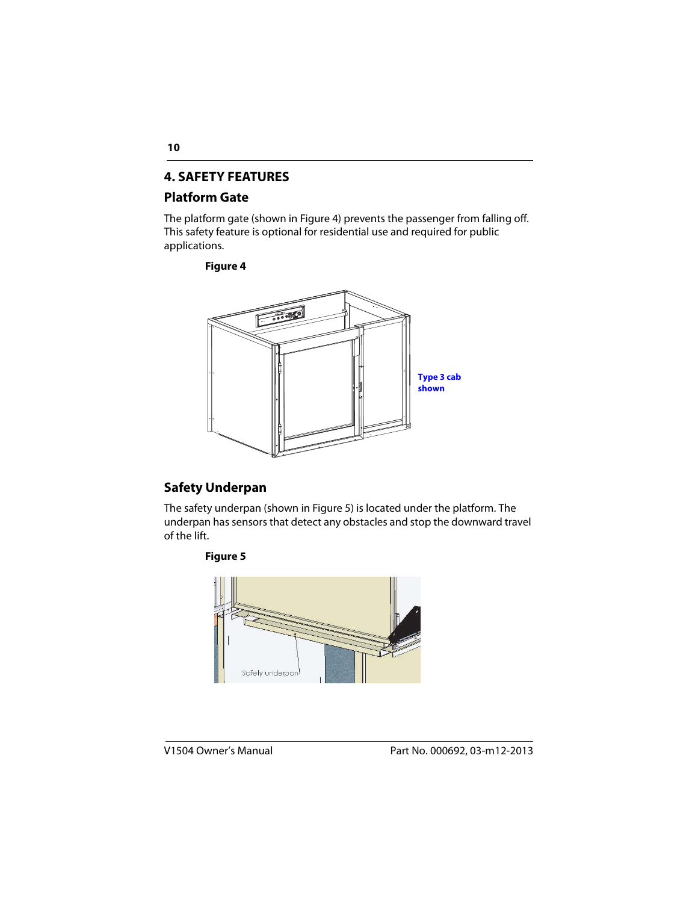#### <span id="page-9-1"></span>**4. SAFETY FEATURES**

#### <span id="page-9-2"></span>**Platform Gate**

The platform gate (shown in Figure 4) prevents the passenger from falling off. This safety feature is optional for residential use and required for public applications.

#### **Figure 4**



#### <span id="page-9-0"></span>**Safety Underpan**

The safety underpan (shown in Figure 5) is located under the platform. The underpan has sensors that detect any obstacles and stop the downward travel of the lift.



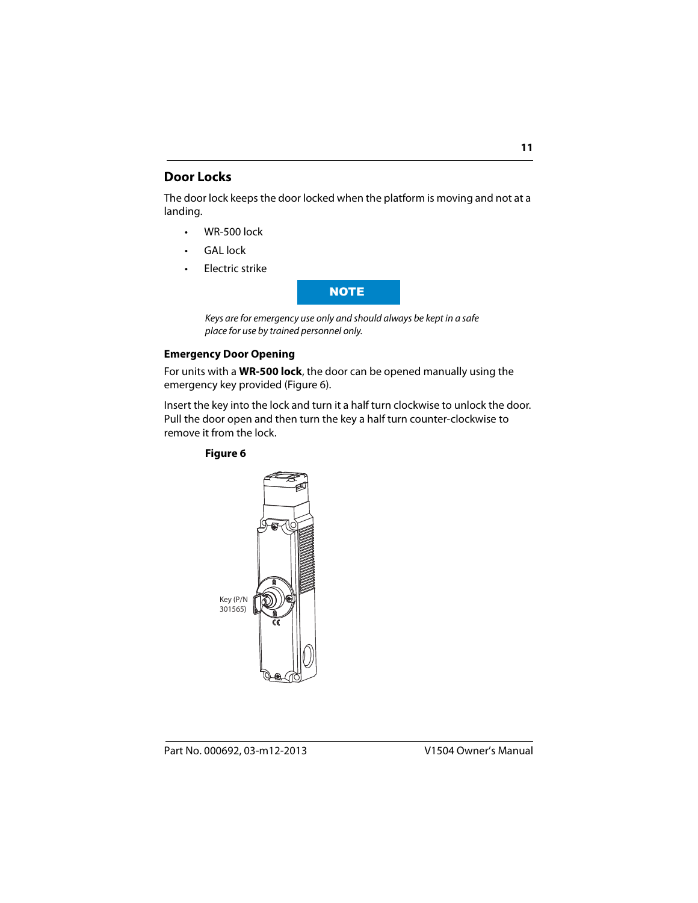#### <span id="page-10-0"></span>**Door Locks**

The door lock keeps the door locked when the platform is moving and not at a landing.

- WR-500 lock
- GAL lock
- Electric strike



Keys are for emergency use only and should always be kept in a safe place for use by trained personnel only.

#### **Emergency Door Opening**

For units with a **WR-500 lock**, the door can be opened manually using the emergency key provided (Figure 6).

Insert the key into the lock and turn it a half turn clockwise to unlock the door. Pull the door open and then turn the key a half turn counter-clockwise to remove it from the lock.

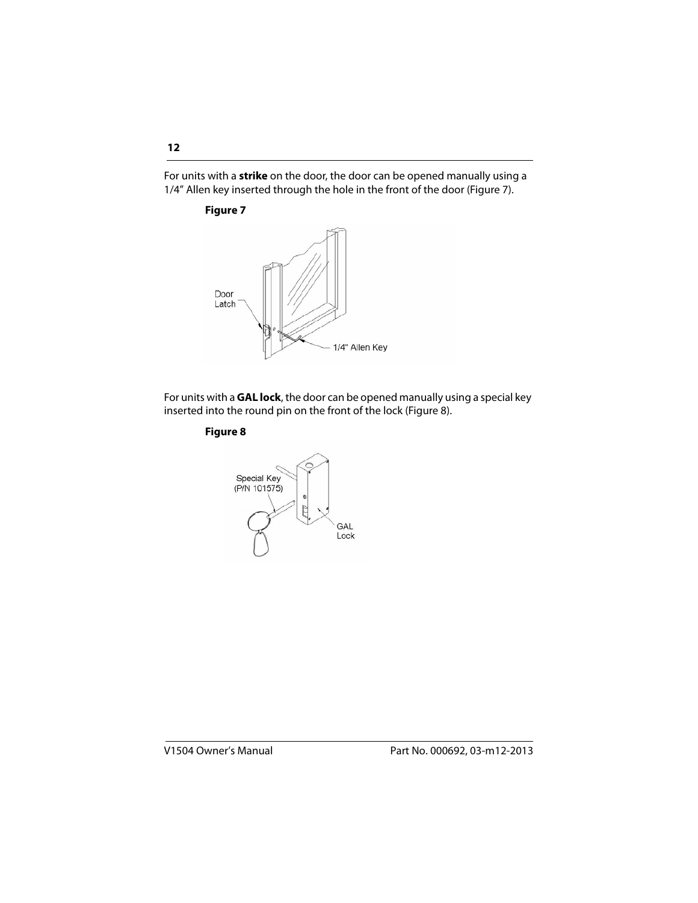For units with a **strike** on the door, the door can be opened manually using a 1/4" Allen key inserted through the hole in the front of the door (Figure 7).

#### **Figure 7**



For units with a **GAL lock**, the door can be opened manually using a special key inserted into the round pin on the front of the lock (Figure 8).

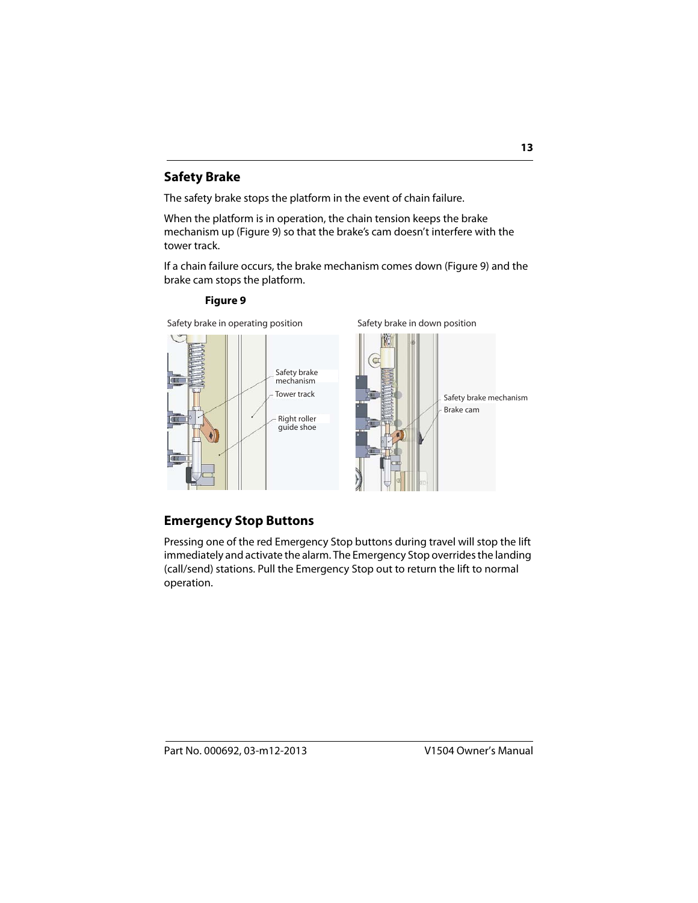#### **Safety Brake**

The safety brake stops the platform in the event of chain failure.

When the platform is in operation, the chain tension keeps the brake mechanism up (Figure 9) so that the brake's cam doesn't interfere with the tower track.

If a chain failure occurs, the brake mechanism comes down (Figure 9) and the brake cam stops the platform.

#### **Figure 9**

Safety brake in operating position Safety brake in down position Safety brake mechanism Brake cam Safety brake mechanism Tower track Right roller guide shoe

#### <span id="page-12-0"></span>**Emergency Stop Buttons**

Pressing one of the red Emergency Stop buttons during travel will stop the lift immediately and activate the alarm. The Emergency Stop overrides the landing (call/send) stations. Pull the Emergency Stop out to return the lift to normal operation.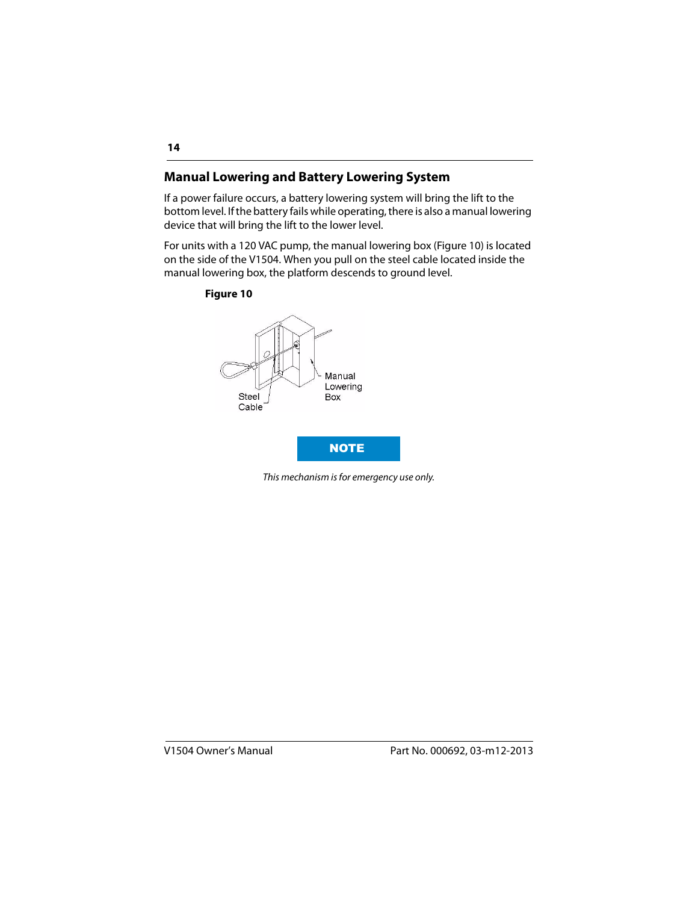#### <span id="page-13-0"></span>**Manual Lowering and Battery Lowering System**

If a power failure occurs, a battery lowering system will bring the lift to the bottom level. If the battery fails while operating, there is also a manual lowering device that will bring the lift to the lower level.

For units with a 120 VAC pump, the manual lowering box (Figure 10) is located on the side of the V1504. When you pull on the steel cable located inside the manual lowering box, the platform descends to ground level.

#### **Figure 10**



This mechanism is for emergency use only.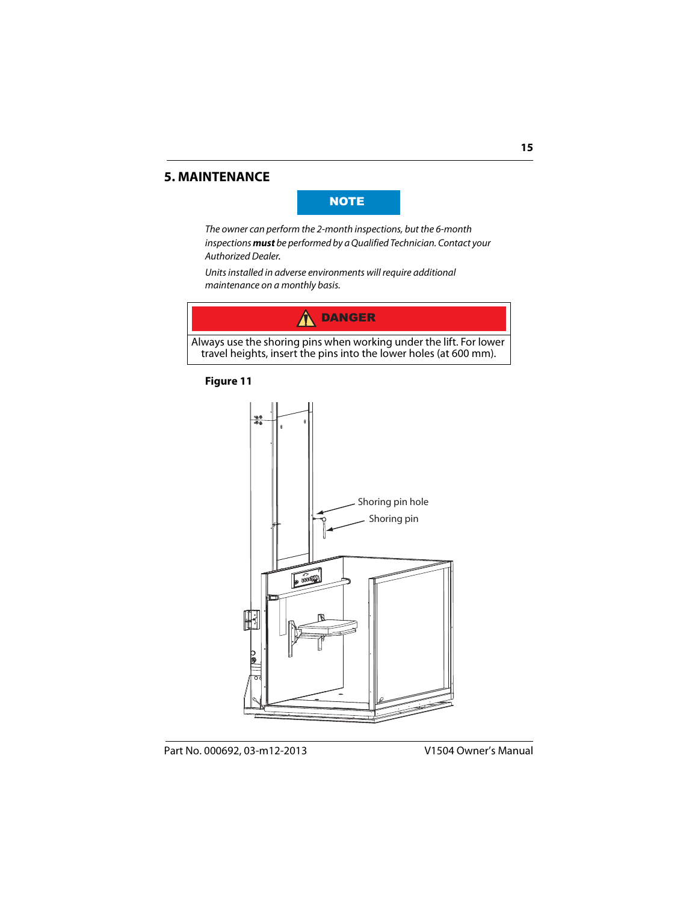#### <span id="page-14-0"></span>**5. MAINTENANCE**

#### **NOTE**

The owner can perform the 2-month inspections, but the 6-month inspections **must** be performed by a Qualified Technician. Contact your Authorized Dealer.

Units installed in adverse environments will require additional maintenance on a monthly basis.



Always use the shoring pins when working under the lift. For lower travel heights, insert the pins into the lower holes (at 600 mm).

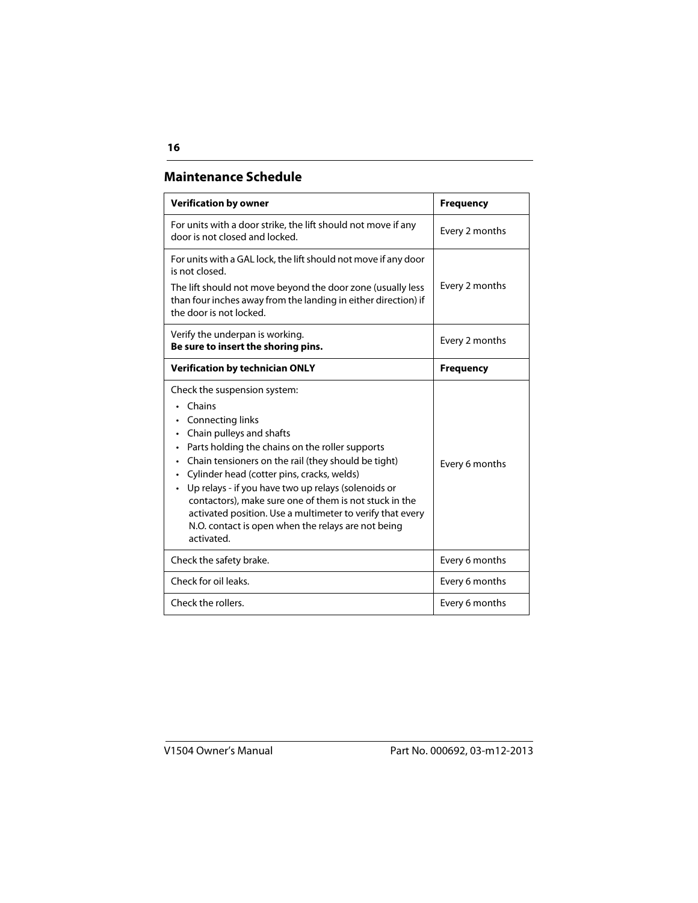#### **Maintenance Schedule**

| <b>Verification by owner</b>                                                                                                                                                                                                                                                                                                                                                                                                                                                                                                                                      | <b>Frequency</b> |
|-------------------------------------------------------------------------------------------------------------------------------------------------------------------------------------------------------------------------------------------------------------------------------------------------------------------------------------------------------------------------------------------------------------------------------------------------------------------------------------------------------------------------------------------------------------------|------------------|
| For units with a door strike, the lift should not move if any<br>door is not closed and locked.                                                                                                                                                                                                                                                                                                                                                                                                                                                                   | Every 2 months   |
| For units with a GAL lock, the lift should not move if any door<br>is not closed.<br>The lift should not move beyond the door zone (usually less<br>than four inches away from the landing in either direction) if<br>the door is not locked.                                                                                                                                                                                                                                                                                                                     | Every 2 months   |
| Verify the underpan is working.<br>Be sure to insert the shoring pins.                                                                                                                                                                                                                                                                                                                                                                                                                                                                                            | Every 2 months   |
| <b>Verification by technician ONLY</b>                                                                                                                                                                                                                                                                                                                                                                                                                                                                                                                            | <b>Frequency</b> |
| Check the suspension system:<br>Chains<br>Connecting links<br>$\bullet$<br>Chain pulleys and shafts<br>$\bullet$<br>Parts holding the chains on the roller supports<br>$\bullet$<br>Chain tensioners on the rail (they should be tight)<br>$\bullet$<br>Cylinder head (cotter pins, cracks, welds)<br>Up relays - if you have two up relays (solenoids or<br>$\bullet$<br>contactors), make sure one of them is not stuck in the<br>activated position. Use a multimeter to verify that every<br>N.O. contact is open when the relays are not being<br>activated. | Every 6 months   |
| Check the safety brake.                                                                                                                                                                                                                                                                                                                                                                                                                                                                                                                                           | Every 6 months   |
| Check for oil leaks.                                                                                                                                                                                                                                                                                                                                                                                                                                                                                                                                              | Every 6 months   |
| Check the rollers.                                                                                                                                                                                                                                                                                                                                                                                                                                                                                                                                                | Every 6 months   |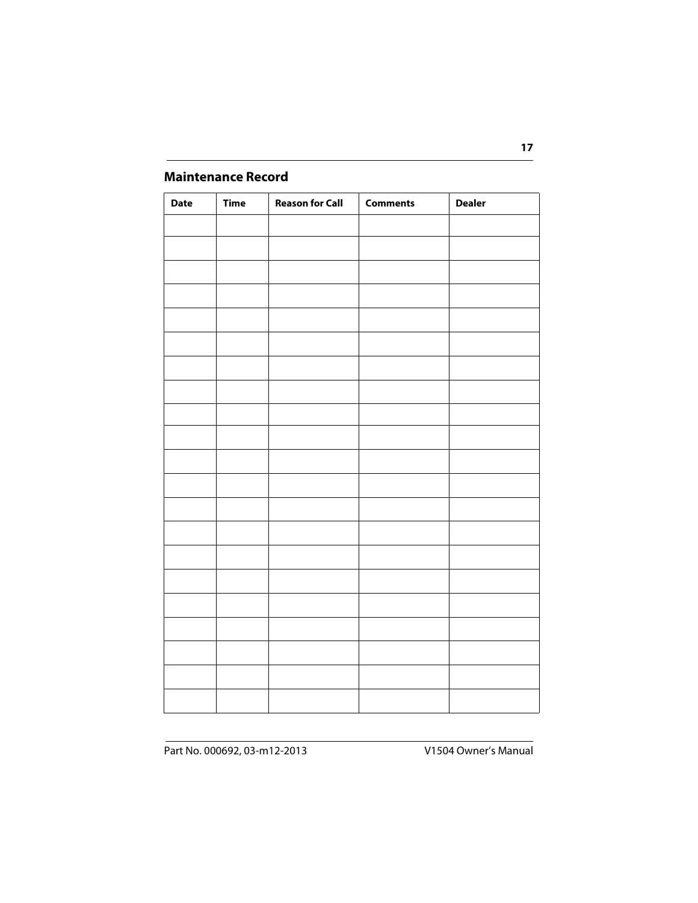#### <span id="page-16-0"></span>**Maintenance Record**

| <b>Date</b> | <b>Time</b> | <b>Reason for Call</b> | <b>Comments</b> | <b>Dealer</b> |
|-------------|-------------|------------------------|-----------------|---------------|
|             |             |                        |                 |               |
|             |             |                        |                 |               |
|             |             |                        |                 |               |
|             |             |                        |                 |               |
|             |             |                        |                 |               |
|             |             |                        |                 |               |
|             |             |                        |                 |               |
|             |             |                        |                 |               |
|             |             |                        |                 |               |
|             |             |                        |                 |               |
|             |             |                        |                 |               |
|             |             |                        |                 |               |
|             |             |                        |                 |               |
|             |             |                        |                 |               |
|             |             |                        |                 |               |
|             |             |                        |                 |               |
|             |             |                        |                 |               |
|             |             |                        |                 |               |
|             |             |                        |                 |               |
|             |             |                        |                 |               |
|             |             |                        |                 |               |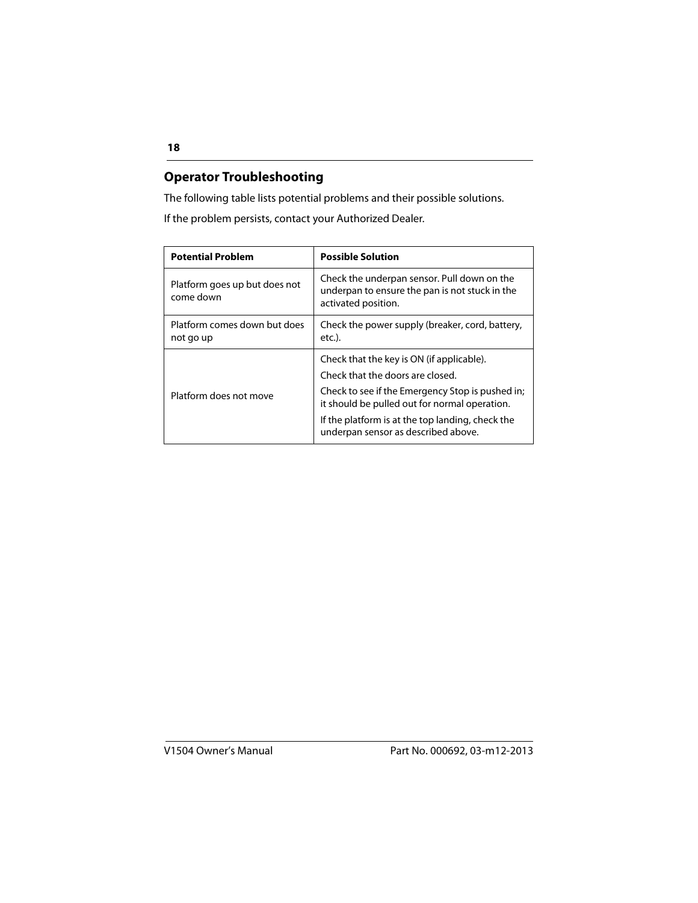#### <span id="page-17-0"></span>**Operator Troubleshooting**

The following table lists potential problems and their possible solutions.

If the problem persists, contact your Authorized Dealer.

| <b>Potential Problem</b>                   | <b>Possible Solution</b>                                                                                                                                                                                                                                                      |
|--------------------------------------------|-------------------------------------------------------------------------------------------------------------------------------------------------------------------------------------------------------------------------------------------------------------------------------|
| Platform goes up but does not<br>come down | Check the underpan sensor. Pull down on the<br>underpan to ensure the pan is not stuck in the<br>activated position.                                                                                                                                                          |
| Platform comes down but does<br>not go up  | Check the power supply (breaker, cord, battery,<br>etc.).                                                                                                                                                                                                                     |
| Platform does not move                     | Check that the key is ON (if applicable).<br>Check that the doors are closed.<br>Check to see if the Emergency Stop is pushed in;<br>it should be pulled out for normal operation.<br>If the platform is at the top landing, check the<br>underpan sensor as described above. |